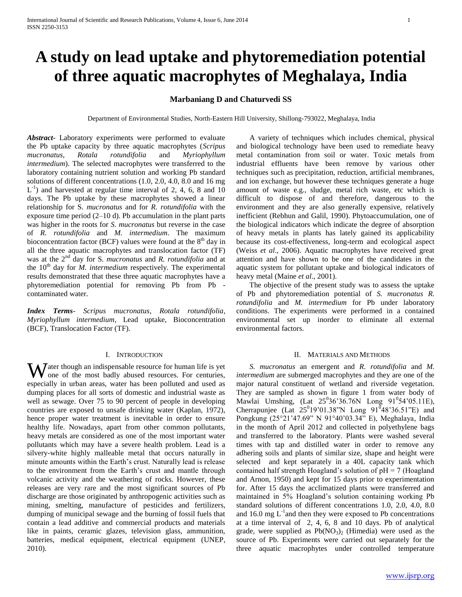# **A study on lead uptake and phytoremediation potential of three aquatic macrophytes of Meghalaya, India**

## **Marbaniang D and Chaturvedi SS**

Department of Environmental Studies, North-Eastern Hill University, Shillong-793022, Meghalaya, India

*Abstract***-** Laboratory experiments were performed to evaluate the Pb uptake capacity by three aquatic macrophytes (*Scripus mucronatus*, *Rotala rotundifolia* and *Myriophyllum intermedium*). The selected macrophytes were transferred to the laboratory containing nutrient solution and working Pb standard solutions of different concentrations (1.0, 2.0, 4.0, 8.0 and 16 mg  $L^{-1}$ ) and harvested at regular time interval of 2, 4, 6, 8 and 10 days. The Pb uptake by these macrophytes showed a linear relationship for S*. mucronatus* and for *R. rotundifolia* with the exposure time period (2–10 d). Pb accumulation in the plant parts was higher in the roots for *S. mucronatus* but reverse in the case of *R. rotundifolia* and *M. intermedium*. The maximum bioconcentration factor (BCF) values were found at the  $8<sup>th</sup>$  day in all the three aquatic macrophytes and translocation factor (TF) was at the 2nd day for S*. mucronatus* and *R. rotundifolia* and at the  $10<sup>th</sup>$  day for *M. intermedium* respectively. The experimental results demonstrated that these three aquatic macrophytes have a phytoremediation potential for removing Pb from Pb contaminated water.

*Index Terms*- *Scripus mucronatus*, *Rotala rotundifolia*, *Myriophyllum intermedium*, Lead uptake, Bioconcentration (BCF), Translocation Factor (TF).

## I. INTRODUCTION

ater though an indispensable resource for human life is yet Water though an indispensable resource for human life is yet<br>the most badly abused resources. For centuries, especially in urban areas, water has been polluted and used as dumping places for all sorts of domestic and industrial waste as well as sewage. Over 75 to 90 percent of people in developing countries are exposed to unsafe drinking water (Kaplan, 1972), hence proper water treatment is inevitable in order to ensure healthy life. Nowadays, apart from other common pollutants, heavy metals are considered as one of the most important water pollutants which may have a severe health problem. Lead is a silvery-white highly malleable metal that occurs naturally in minute amounts within the Earth's crust. Naturally lead is release to the environment from the Earth's crust and mantle through volcanic activity and the weathering of rocks. However, these releases are very rare and the most significant sources of Pb discharge are those originated by anthropogenic activities such as mining, smelting, manufacture of pesticides and fertilizers, dumping of municipal sewage and the burning of fossil fuels that contain a lead additive and commercial products and materials like in paints, ceramic glazes, television glass, ammunition, batteries, medical equipment, electrical equipment (UNEP, 2010).

 A variety of techniques which includes chemical, physical and biological technology have been used to remediate heavy metal contamination from soil or water. Toxic metals from industrial effluents have been remove by various other techniques such as precipitation, reduction, artificial membranes, and ion exchange, but however these techniques generate a huge amount of waste e.g., sludge, metal rich waste, etc which is difficult to dispose of and therefore, dangerous to the environment and they are also generally expensive, relatively inefficient (Rebhun and Galil, 1990). Phytoaccumulation, one of the biological indicators which indicate the degree of absorption of heavy metals in plants has lately gained its applicability because its cost-effectiveness, long-term and ecological aspect (Weiss *et al*., 2006). Aquatic macrophytes have received great attention and have shown to be one of the candidates in the aquatic system for pollutant uptake and biological indicators of heavy metal (Maine *et al*., 2001).

 The objective of the present study was to assess the uptake of Pb and phytoremediation potential of *S. mucronatus R. rotundifolia* and *M. intermedium* for Pb under laboratory conditions. The experiments were performed in a contained environmental set up inorder to eliminate all external environmental factors.

#### II. MATERIALS AND METHODS

 *S. mucronatus* an emergent and *R. rotundifolia* and *M. intermedium* are submerged macrophytes and they are one of the major natural constituent of wetland and riverside vegetation. They are sampled as shown in figure 1 from water body of Mawlai Umshing, (Lat  $25^036'36.76N$  Long  $91^054'05.11E$ ), Cherrapunjee (Lat  $25^019'01.38''N$  Long  $91^048'36.51''E$ ) and Pongkung (25°21'47.69" N 91°40'03.34" E), Meghalaya, India in the month of April 2012 and collected in polyethylene bags and transferred to the laboratory. Plants were washed several times with tap and distilled water in order to remove any adhering soils and plants of similar size, shape and height were selected and kept separately in a 40L capacity tank which contained half strength Hoagland's solution of pH = 7 (Hoagland and Arnon, 1950) and kept for 15 days prior to experimentation for. After 15 days the acclimatized plants were transferred and maintained in 5% Hoagland's solution containing working Pb standard solutions of different concentrations 1.0, 2.0, 4.0, 8.0 and 16.0 mg  $L^{-1}$  and then they were exposed to Pb concentrations at a time interval of 2, 4, 6, 8 and 10 days. Pb of analytical grade, were supplied as  $Pb(NO<sub>3</sub>)<sub>2</sub>$  (Himedia) were used as the source of Pb. Experiments were carried out separately for the three aquatic macrophytes under controlled temperature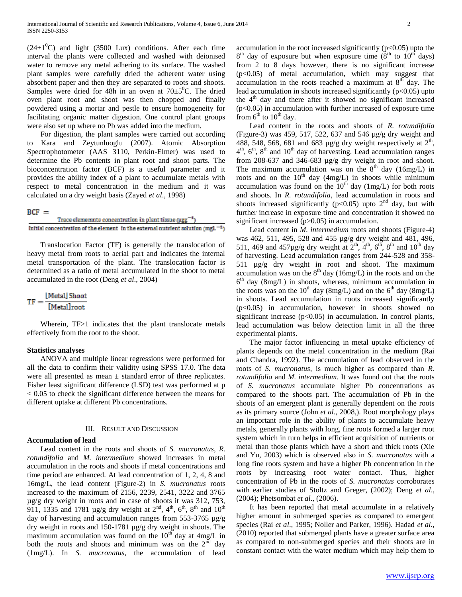$(24\pm1<sup>0</sup>C)$  and light (3500 Lux) conditions. After each time interval the plants were collected and washed with deionised water to remove any metal adhering to its surface. The washed plant samples were carefully dried the adherent water using absorbent paper and then they are separated to roots and shoots. Samples were dried for 48h in an oven at  $70\pm5^{\circ}$ C. The dried oven plant root and shoot was then chopped and finally powdered using a mortar and pestle to ensure homogeneity for facilitating organic matter digestion. One control plant groups were also set up where no Pb was added into the medium.

 For digestion, the plant samples were carried out according Kara and Zeytunluoglu (2007). Atomic Absorption Spectrophotometer (AAS 3110, Perkin-Elmer) was used to determine the Pb contents in plant root and shoot parts. The bioconcentration factor (BCF) is a useful parameter and it provides the ability index of a plant to accumulate metals with respect to metal concentration in the medium and it was calculated on a dry weight basis (Zayed *et al*., 1998)

## $BCF =$

| Trace elememnts concentration in plant tissue $(\mu gg^{-1})$                         |
|---------------------------------------------------------------------------------------|
| Initial concentration of the element in the external nutrient solution (mgL $^{-1}$ ) |

 Translocation Factor (TF) is generally the translocation of heavy metal from roots to aerial part and indicates the internal metal transportation of the plant. The translocation factor is determined as a ratio of metal accumulated in the shoot to metal accumulated in the root (Deng *et al*., 2004)

$$
TF = \frac{[Meta] \text{Show}}{[Meta] \text{root}}
$$

Wherein, TF>1 indicates that the plant translocate metals effectively from the root to the shoot.

#### **Statistics analyses**

 ANOVA and multiple linear regressions were performed for all the data to confirm their validity using SPSS 17.0. The data were all presented as mean  $\pm$  standard error of three replicates. Fisher least significant difference (LSD) test was performed at p < 0.05 to check the significant difference between the means for different uptake at different Pb concentrations.

#### III. RESULT AND DISCUSSION

## **Accumulation of lead**

 Lead content in the roots and shoots of *S. mucronatus*, *R. rotundifolia* and *M. intermedium* showed increases in metal accumulation in the roots and shoots if metal concentrations and time period are enhanced. At lead concentration of 1, 2, 4, 8 and 16mg/L, the lead content (Figure-2) in *S. mucronatus* roots increased to the maximum of 2156, 2239, 2541, 3222 and 3765 µg/g dry weight in roots and in case of shoots it was 312, 753, 911, 1335 and 1781 µg/g dry weight at  $2<sup>nd</sup>$ ,  $4<sup>th</sup>$ ,  $6<sup>th</sup>$ ,  $8<sup>th</sup>$  and  $10<sup>th</sup>$ day of harvesting and accumulation ranges from 553-3765 µg/g dry weight in roots and 150-1781 µg/g dry weight in shoots. The maximum accumulation was found on the  $10^{th}$  day at  $4mg/L$  in both the roots and shoots and minimum was on the  $2<sup>nd</sup>$  day (1mg/L). In *S. mucronatus*, the accumulation of lead

accumulation in the root increased significantly  $(p<0.05)$  upto the  $8<sup>th</sup>$  day of exposure but when exposure time  $(8<sup>th</sup>$  to  $10<sup>th</sup>$  days) from 2 to 8 days however, there is no significant increase  $(p<0.05)$  of metal accumulation, which may suggest that accumulation in the roots reached a maximum at  $8<sup>th</sup>$  day. The lead accumulation in shoots increased significantly  $(p<0.05)$  upto the  $4<sup>th</sup>$  day and there after it showed no significant increased  $(p<0.05)$  in accumulation with further increased of exposure time from  $6<sup>th</sup>$  to  $10<sup>th</sup>$  day.

 Lead content in the roots and shoots of *R. rotundifolia* (Figure-3) was 459, 517, 522, 637 and 546 µg/g dry weight and 488, 548, 568, 681 and 683  $\mu$ g/g dry weight respectively at  $2<sup>th</sup>$ ,  $4<sup>th</sup>$ ,  $6<sup>th</sup>$ ,  $8<sup>th</sup>$  and  $10<sup>th</sup>$  day of harvesting. Lead accumulation ranges from 208-637 and 346-683 µg/g dry weight in root and shoot. The maximum accumulation was on the  $8<sup>th</sup>$  day (16mg/L) in roots and on the  $10<sup>th</sup>$  day (4mg/L) in shoots while minimum accumulation was found on the  $10^{th}$  day (1mg/L) for both roots and shoots. In *R. rotundifolia*, lead accumulation in roots and shoots increased significantly ( $p$ <0.05) upto  $2<sup>nd</sup>$  day, but with further increase in exposure time and concentration it showed no significant increased (p>0.05) in accumulation.

 Lead content in *M. intermedium* roots and shoots (Figure-4) was 462, 511, 495, 528 and 455 µg/g dry weight and 481, 496, 511, 469 and 457µg/g dry weight at  $2^{th}$ ,  $4^{th}$ ,  $6^{th}$ ,  $8^{th}$  and  $10^{th}$  day of harvesting. Lead accumulation ranges from 244-528 and 358- 511 µg/g dry weight in root and shoot. The maximum accumulation was on the  $8<sup>th</sup>$  day (16mg/L) in the roots and on the 6 th day (8mg/L) in shoots, whereas, minimum accumulation in the roots was on the 10<sup>th</sup> day (8mg/L) and on the  $6<sup>th</sup>$  day (8mg/L) in shoots. Lead accumulation in roots increased significantly  $(p<0.05)$  in accumulation, however in shoots showed no significant increase  $(p<0.05)$  in accumulation. In control plants, lead accumulation was below detection limit in all the three experimental plants.

 The major factor influencing in metal uptake efficiency of plants depends on the metal concentration in the medium (Rai and Chandra, 1992). The accumulation of lead observed in the roots of *S. mucronatus*, is much higher as compared than *R. rotundifolia* and *M. intermedium*. It was found out that the roots of *S. mucronatus* accumulate higher Pb concentrations as compared to the shoots part. The accumulation of Pb in the shoots of an emergent plant is generally dependent on the roots as its primary source (John *et al*., 2008,). Root morphology plays an important role in the ability of plants to accumulate heavy metals, generally plants with long, fine roots formed a larger root system which in turn helps in efficient acquisition of nutrients or metal than those plants which have a short and thick roots (Xie and Yu, 2003) which is observed also in *S. mucronatus* with a long fine roots system and have a higher Pb concentration in the roots by increasing root water contact. Thus, higher concentration of Pb in the roots of *S. mucronatus* corroborates with earlier studies of Stoltz and Greger, (2002); Deng *et al*., (2004); Phetsombat *et al*., (2006).

 It has been reported that metal accumulate in a relatively higher amount in submerged species as compared to emergent species (Rai *et al*., 1995; Noller and Parker, 1996). Hadad *et al*., (2010) reported that submerged plants have a greater surface area as compared to non-submerged species and their shoots are in constant contact with the water medium which may help them to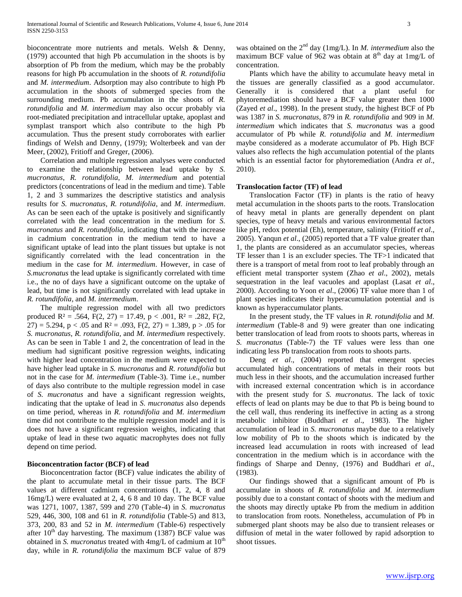bioconcentrate more nutrients and metals. Welsh & Denny, (1979) accounted that high Pb accumulation in the shoots is by absorption of Pb from the medium, which may be the probably reasons for high Pb accumulation in the shoots of *R. rotundifolia*  and *M. intermedium*. Adsorption may also contribute to high Pb accumulation in the shoots of submerged species from the surrounding medium. Pb accumulation in the shoots of *R. rotundifolia* and *M. intermedium* may also occur probably via root-mediated precipitation and intracellular uptake, apoplast and symplast transport which also contribute to the high Pb accumulation. Thus the present study corroborates with earlier findings of Welsh and Denny, (1979); Wolterbeek and van der Meer, (2002), Fritioff and Greger, (2006).

 Correlation and multiple regression analyses were conducted to examine the relationship between lead uptake by *S. mucronatus*, *R. rotundifolia*, *M. intermedium* and potential predictors (concentrations of lead in the medium and time). Table 1, 2 and 3 summarizes the descriptive statistics and analysis results for *S. mucronatus*, *R. rotundifolia*, and *M. intermedium*. As can be seen each of the uptake is positively and significantly correlated with the lead concentration in the medium for *S. mucronatus* and *R. rotundifolia*, indicating that with the increase in cadmium concentration in the medium tend to have a significant uptake of lead into the plant tissues but uptake is not significantly correlated with the lead concentration in the medium in the case for *M. intermedium*. However, in case of *S.mucronatus* the lead uptake is significantly correlated with time i.e., the no of days have a significant outcome on the uptake of lead, but time is not significantly correlated with lead uptake in *R. rotundifolia*, and *M. intermedium*.

 The multiple regression model with all two predictors produced  $R^2 = .564$ ,  $F(2, 27) = 17.49$ ,  $p < .001$ ,  $R^2 = .282$ ,  $F(2, 17) = .001$ 27) = 5.294, p < .05 and  $R^2$  = .093, F(2, 27) = 1.389, p > .05 for *S. mucronatus*, *R. rotundifolia*, and *M. intermedium* respectively. As can be seen in Table 1 and 2, the concentration of lead in the medium had significant positive regression weights, indicating with higher lead concentration in the medium were expected to have higher lead uptake in *S. mucronatus* and *R. rotundifolia* but not in the case for *M. intermedium* (Table-3). Time i.e., number of days also contribute to the multiple regression model in case of *S. mucronatus* and have a significant regression weights, indicating that the uptake of lead in *S. mucronatus* also depends on time period, whereas in *R. rotundifolia* and *M. intermedium* time did not contribute to the multiple regression model and it is does not have a significant regression weights, indicating that uptake of lead in these two aquatic macrophytes does not fully depend on time period.

## **Bioconcentration factor (BCF) of lead**

 Bioconcentration factor (BCF) value indicates the ability of the plant to accumulate metal in their tissue parts. The BCF values at different cadmium concentrations (1, 2, 4, 8 and 16mg/L) were evaluated at 2, 4, 6 8 and 10 day. The BCF value was 1271, 1007, 1387, 599 and 270 (Table-4) in *S. mucronatus* 529, 446, 300, 108 and 61 in *R. rotundifolia* (Table-5) and 813, 373, 200, 83 and 52 in *M. intermedium* (Table-6) respectively after  $10^{th}$  day harvesting. The maximum (1387) BCF value was obtained in *S. mucronatus* treated with 4mg/L of cadmium at 10<sup>th</sup> day, while in *R. rotundifolia* the maximum BCF value of 879

was obtained on the  $2<sup>nd</sup>$  day (1mg/L). In *M. intermedium* also the maximum BCF value of 962 was obtain at  $8<sup>th</sup>$  day at 1mg/L of concentration.

 Plants which have the ability to accumulate heavy metal in the tissues are generally classified as a good accumulator. Generally it is considered that a plant useful for phytoremediation should have a BCF value greater then 1000 (Zayed *et al*., 1998). In the present study, the highest BCF of Pb was 1387 in *S. mucronatus*, 879 in *R. rotundifolia* and 909 in *M. intermedium* which indicates that *S. mucronatus* was a good accumulator of Pb while *R. rotundifolia* and *M. intermedium*  maybe considered as a moderate accumulator of Pb. High BCF values also reflects the high accumulation potential of the plants which is an essential factor for phytoremediation (Andra *et al*., 2010).

## **Translocation factor (TF) of lead**

 Translocation Factor (TF) in plants is the ratio of heavy metal accumulation in the shoots parts to the roots. Translocation of heavy metal in plants are generally dependent on plant species, type of heavy metals and various environmental factors like pH, redox potential (Eh), temperature, salinity (Fritioff *et al*., 2005). Yanqun *et al*., (2005) reported that a TF value greater than 1, the plants are considered as an accumulator species, whereas TF lesser than 1 is an excluder species. The TF>1 indicated that there is a transport of metal from root to leaf probably through an efficient metal transporter system (Zhao *et al*., 2002), metals sequestration in the leaf vacuoles and apoplast (Lasat *et al*., 2000). According to Yoon e*t al*., (2006) TF value more than 1 of plant species indicates their hyperacumulation potential and is known as hyperaccumulator plants.

 In the present study, the TF values in *R. rotundifolia* and *M. intermedium* (Table-8 and 9) were greater than one indicating better translocation of lead from roots to shoots parts, whereas in *S. mucronatus* (Table-7) the TF values were less than one indicating less Pb translocation from roots to shoots parts.

 Deng *et al*., (2004) reported that emergent species accumulated high concentrations of metals in their roots but much less in their shoots, and the accumulation increased further with increased external concentration which is in accordance with the present study for *S. mucronatus*. The lack of toxic effects of lead on plants may be due to that Pb is being bound to the cell wall, thus rendering its ineffective in acting as a strong metabolic inhibitor (Buddhari *et al*., 1983). The higher accumulation of lead in *S. mucronatus* maybe due to a relatively low mobility of Pb to the shoots which is indicated by the increased lead accumulation in roots with increased of lead concentration in the medium which is in accordance with the findings of Sharpe and Denny, (1976) and Buddhari *et al*., (1983).

 Our findings showed that a significant amount of Pb is accumulate in shoots of *R. rotundifolia* and *M. intermedium* possibly due to a constant contact of shoots with the medium and the shoots may directly uptake Pb from the medium in addition to translocation from roots. Nonetheless, accumulation of Pb in submerged plant shoots may be also due to transient releases or diffusion of metal in the water followed by rapid adsorption to shoot tissues.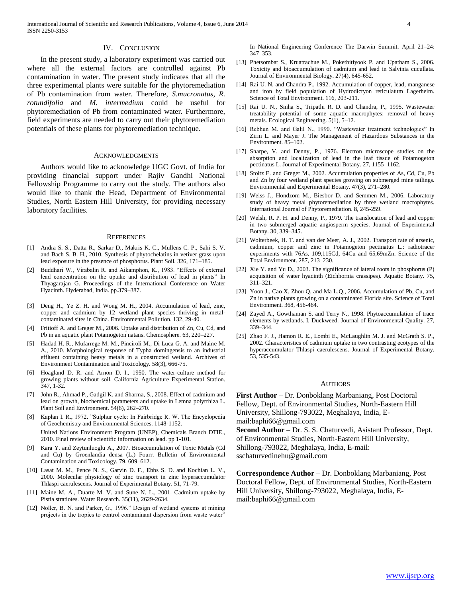#### IV. CONCLUSION

 In the present study, a laboratory experiment was carried out where all the external factors are controlled against Pb contamination in water. The present study indicates that all the three experimental plants were suitable for the phytoremediation of Pb contamination from water. Therefore, *S.mucronatus*, *R. rotundifolia* and *M. intermedium* could be useful for phytoremediation of Pb from contaminated water. Furthermore, field experiments are needed to carry out their phytoremediation potentials of these plants for phytoremediation technique.

#### **ACKNOWLEDGMENTS**

 Authors would like to acknowledge UGC Govt. of India for providing financial support under Rajiv Gandhi National Fellowship Programme to carry out the study. The authors also would like to thank the Head, Department of Environmental Studies, North Eastern Hill University, for providing necessary laboratory facilities.

#### **REFERENCES**

- [1] Andra S. S., Datta R., Sarkar D., Makris K. C., Mullens C. P., Sahi S. V. and Bach S. B. H., 2010. Synthesis of phytochelatins in vetiver grass upon lead exposure in the presence of phosphorus. Plant Soil. 326, 171–185.
- [2] Buddhari W., Virabalin R. and Aikamphon, K., 1983. "Effects of external lead concentration on the uptake and distribution of lead in plants" In Thyagarajan G. Proceedings of the International Conference on Water Hyacinth. Hyderabad, India. pp.379–387.
- [3] Deng H., Ye Z. H. and Wong M. H., 2004. Accumulation of lead, zinc, copper and cadmium by 12 wetland plant species thriving in metalcontaminated sites in China. Environmental Pollution. 132, 29-40.
- [4] Fritioff A. and Greger M., 2006. Uptake and distribution of Zn, Cu, Cd, and Pb in an aquatic plant Potamogeton natans. Chemosphere. 63, 220–227.
- [5] Hadad H. R., Mufarrege M. M., Pinciroli M., Di Luca G. A. and Maine M. A., 2010. Morphological response of Typha domingensis to an industrial effluent containing heavy metals in a constructed wetland. Archives of Environment Contamination and Toxicology. 58(3), 666-75.
- [6] Hoagland D. R. and Arnon D. I., 1950. The water-culture method for growing plants without soil. California Agriculture Experimental Station. 347, 1-32.
- [7] John R., Ahmad P., Gadgil K. and Sharma, S., 2008. Effect of cadmium and lead on growth, biochemical parameters and uptake in Lemna polyrrhiza L. Plant Soil and Environment. 54(6), 262–270.
- [8] Kaplan I. R., 1972. "Sulphur cycle: In Fairbridge R. W. The Encyclopedia of Geochemistry and Environmental Sciences. 1148-1152. United Nations Environment Program (UNEP), Chemicals Branch DTIE., 2010. Final review of scientific information on lead. pp 1-101.
- [9] Kara Y. and Zeytunluoglu A., 2007. Bioaccumulation of Toxic Metals (Cd and Cu) by Groenlandia densa (L.) Fourr. Bulletin of Environmental Contamination and Toxicology. 79, 609–612.
- [10] Lasat M. M., Pence N. S., Garvin D. F., Ebbs S. D. and Kochian L. V., 2000. Molecular physiology of zinc transport in zinc hyperaccumulator Thlaspi caerulescens. Journal of Experimental Botany. 51, 71-79.
- [11] Maine M. A., Duarte M. V. and Sune N. L., 2001. Cadmium uptake by Pistia stratiotes. Water Research. 35(11), 2629-2634.
- [12] Noller, B. N. and Parker, G., 1996." Design of wetland systems at mining projects in the tropics to control contaminant dispersion from waste water"

In National Engineering Conference The Darwin Summit. April 21–24: 347–353.

- [13] Phetsombat S., Kruatrachue M., Pokethitiyook P. and Upatham S., 2006. Toxicity and bioaccumulation of cadmium and lead in Salvinia cucullata. Journal of Environmental Biology. 27(4), 645-652.
- [14] Rai U. N. and Chandra P., 1992. Accumulation of copper, lead, manganese and iron by field population of Hydrodictyon reticulatum Lagerheim. Science of Total Environment. 116, 203-211.
- [15] Rai U. N., Sinha S., Tripathi R. D. and Chandra, P., 1995. Wastewater treatability potential of some aquatic macrophytes: removal of heavy metals. Ecological Engineering. 5(1), 5–12.
- [16] Rebhun M. and Galil N., 1990. "Wastewater treatment technologies" In Zirm L. and Mayer J. The Management of Hazardous Substances in the Environment. 85–102.
- [17] Sharpe, V. and Denny, P., 1976. Electron microscope studies on the absorption and localization of lead in the leaf tissue of Potamogeton pectinatus L. Journal of Experimental Botany. 27, 1155–1162.
- [18] Stoltz E. and Greger M., 2002. Accumulation properties of As, Cd, Cu, Pb and Zn by four wetland plant species growing on submerged mine tailings. Environmental and Experimental Botany. 47(3), 271–280.
- [19] Weiss J., Hondzom M., Biesbor D. and Semmen M., 2006. Laboratory study of heavy metal phytoremediation by three wetland macrophytes. International Journal of Phytoremediation. 8, 245-259.
- [20] Welsh, R. P. H. and Denny, P., 1979. The translocation of lead and copper in two submerged aquatic angiosperm species. Journal of Experimental Botany. 30, 339–345.
- [21] Wolterbeek, H. T. and van der Meer, A. J., 2002. Transport rate of arsenic, cadmium, copper and zinc in Potamogeton pectinatus L.: radiotracer experiments with 76As, 109,115Cd, 64Cu and 65,69mZn. Science of the Total Environment. 287, 213–230.
- [22] Xie Y. and Yu D., 2003. The significance of lateral roots in phosphorus (P) acquisition of water hyacinth (Eichhornia crassipes). Aquatic Botany. 75, 311–321.
- [23] Yoon J., Cao X, Zhou Q. and Ma L.Q., 2006. Accumulation of Pb, Cu, and Zn in native plants growing on a contaminated Florida site. Science of Total Environment. 368, 456-464.
- [24] Zayed A., Gowthaman S. and Terry N., 1998. Phytoaccumulation of trace elements by wetlands. I. Duckweed. Journal of Environmental Quality. 27, 339–344.
- [25] Zhao F. J., Hamon R. E., Lombi E., McLaughlin M. J. and McGrath S. P., 2002. Characteristics of cadmium uptake in two contrasting ecotypes of the hyperaccumulator Thlaspi caerulescens. Journal of Experimental Botany. 53, 535-543.

#### AUTHORS

**First Author** – Dr. Donboklang Marbaniang, Post Doctoral Fellow, Dept. of Environmental Studies, North-Eastern Hill University, Shillong-793022, Meghalaya, India, Email:baphi66@gmail.com

**Second Author** – Dr. S. S. Chaturvedi, Asistant Professor, Dept. of Environmental Studies, North-Eastern Hill University, Shillong-793022, Meghalaya, India, E-mail: sschaturvedinehu@gmail.com

**Correspondence Author** – Dr. Donboklang Marbaniang, Post Doctoral Fellow, Dept. of Environmental Studies, North-Eastern Hill University, Shillong-793022, Meghalaya, India, Email:baphi66@gmail.com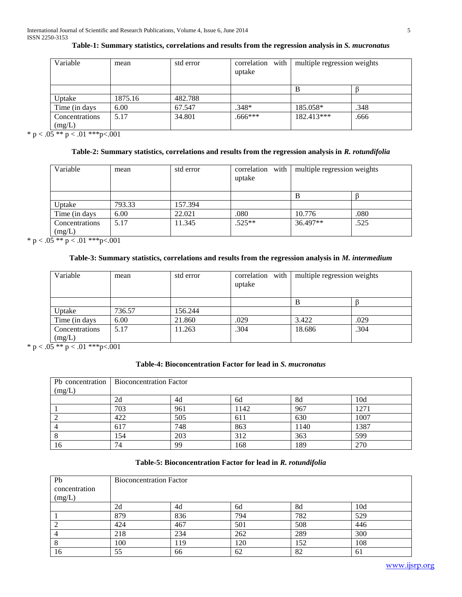| Variable            | mean    | std error | correlation with<br>uptake | multiple regression weights |      |
|---------------------|---------|-----------|----------------------------|-----------------------------|------|
|                     |         |           |                            | В                           |      |
| Uptake              | 1875.16 | 482.788   |                            |                             |      |
| Time (in days)      | 6.00    | 67.547    | .348*                      | 185.058*                    | .348 |
| Concentrations      | 5.17    | 34.801    | $.666***$                  | $182.413***$                | .666 |
| (mg/L)<br>_ _ _ _ _ |         |           |                            |                             |      |

# **Table-1: Summary statistics, correlations and results from the regression analysis in** *S. mucronatus*

\* p < .05 \*\* p < .01 \*\*\*p<.001

## **Table-2: Summary statistics, correlations and results from the regression analysis in** *R. rotundifolia*

| Variable       | mean   | std error | correlation with<br>uptake | multiple regression weights |      |
|----------------|--------|-----------|----------------------------|-----------------------------|------|
|                |        |           |                            | в                           |      |
| Uptake         | 793.33 | 157.394   |                            |                             |      |
| Time (in days) | 6.00   | 22.021    | .080                       | 10.776                      | .080 |
| Concentrations | 5.17   | 11.345    | $.525**$                   | 36.497**                    | .525 |
| (mg/L)         |        |           |                            |                             |      |

\* p <  $.05$  \*\* p <  $.01$  \*\*\* p < 0.01

# **Table-3: Summary statistics, correlations and results from the regression analysis in** *M. intermedium*

| Variable       | mean   | std error | correlation with<br>uptake | multiple regression weights |      |
|----------------|--------|-----------|----------------------------|-----------------------------|------|
|                |        |           |                            | B                           |      |
| Uptake         | 736.57 | 156.244   |                            |                             |      |
| Time (in days) | 6.00   | 21.860    | .029                       | 3.422                       | .029 |
| Concentrations | 5.17   | 11.263    | .304                       | 18.686                      | .304 |
| (mg/L)         |        |           |                            |                             |      |

\* p <  $.05$  \*\* p <  $.01$  \*\*\* p <  $.001$ 

## **Table-4: Bioconcentration Factor for lead in** *S. mucronatus*

|        | Pb concentration   Bioconcentration Factor |                       |      |      |      |  |  |  |
|--------|--------------------------------------------|-----------------------|------|------|------|--|--|--|
| (mg/L) |                                            |                       |      |      |      |  |  |  |
|        | 2d                                         | 10d<br>8d<br>4d<br>6d |      |      |      |  |  |  |
|        | 703                                        | 961                   | 1142 | 967  | 1271 |  |  |  |
|        | 422                                        | 505                   | 611  | 630  | 1007 |  |  |  |
|        | 617                                        | 748                   | 863  | 1140 | 1387 |  |  |  |
|        | 154                                        | 203                   | 312  | 363  | 599  |  |  |  |
| 16     | 74                                         | 99                    | 168  | 189  | 270  |  |  |  |

## **Table-5: Bioconcentration Factor for lead in** *R. rotundifolia*

| Pb            |     | <b>Bioconcentration Factor</b> |     |     |     |  |  |  |
|---------------|-----|--------------------------------|-----|-----|-----|--|--|--|
| concentration |     |                                |     |     |     |  |  |  |
| (mg/L)        |     |                                |     |     |     |  |  |  |
|               | 2d  | 8d<br>10d<br>4d<br>6d          |     |     |     |  |  |  |
|               | 879 | 836                            | 794 | 782 | 529 |  |  |  |
|               | 424 | 467                            | 501 | 508 | 446 |  |  |  |
|               | 218 | 234                            | 262 | 289 | 300 |  |  |  |
|               | 100 | 152<br>108<br>119<br>120       |     |     |     |  |  |  |
| 16            | 55  | 66                             | 62  | 82  | 61  |  |  |  |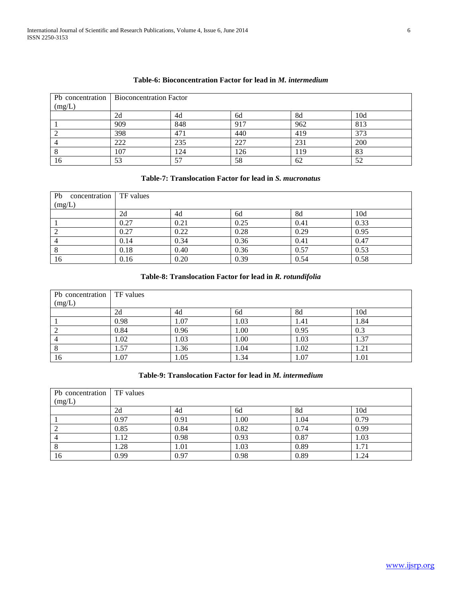|        | Pb concentration   Bioconcentration Factor |                         |     |     |     |  |  |  |
|--------|--------------------------------------------|-------------------------|-----|-----|-----|--|--|--|
| (mg/L) |                                            |                         |     |     |     |  |  |  |
|        | 2d                                         | 10d<br>4d<br>8d<br>6d   |     |     |     |  |  |  |
|        | 909                                        | 848                     | 917 | 962 | 813 |  |  |  |
|        | 398                                        | 471                     | 440 | 419 | 373 |  |  |  |
|        | 222                                        | 235                     | 227 | 231 | 200 |  |  |  |
|        | 107                                        | 83<br>124<br>l 26<br>19 |     |     |     |  |  |  |
| 16     | 53                                         | 57                      | 58  | 62  | 52  |  |  |  |

## **Table-6: Bioconcentration Factor for lead in** *M. intermedium*

# **Table-7: Translocation Factor for lead in** *S. mucronatus*

| Pb<br>concentration | <b>TF</b> values |      |      |      |      |
|---------------------|------------------|------|------|------|------|
| (mg/L)              |                  |      |      |      |      |
|                     | 2d               | 4d   | 6d   | 8d   | 10d  |
|                     | 0.27             | 0.21 | 0.25 | 0.41 | 0.33 |
|                     | 0.27             | 0.22 | 0.28 | 0.29 | 0.95 |
|                     | 0.14             | 0.34 | 0.36 | 0.41 | 0.47 |
| $\circ$             | 0.18             | 0.40 | 0.36 | 0.57 | 0.53 |
| 16                  | 0.16             | 0.20 | 0.39 | 0.54 | 0.58 |

# **Table-8: Translocation Factor for lead in** *R. rotundifolia*

| Pb concentration   TF values |      |      |      |      |      |
|------------------------------|------|------|------|------|------|
| (mg/L)                       |      |      |      |      |      |
|                              | 2d   | 4d   | 6d   | 8d   | 10d  |
|                              | 0.98 | 1.07 | 1.03 | 1.41 | 1.84 |
|                              | 0.84 | 0.96 | 1.00 | 0.95 | 0.3  |
|                              | 1.02 | 1.03 | 1.00 | 1.03 | 1.37 |
|                              | 1.57 | 1.36 | 1.04 | 1.02 | 1.21 |
| 16                           | 1.07 | 1.05 | 1.34 | 1.07 | 1.01 |

## **Table-9: Translocation Factor for lead in** *M. intermedium*

| Pb concentration TF values<br>(mg/L) |      |                       |      |      |      |  |  |  |  |
|--------------------------------------|------|-----------------------|------|------|------|--|--|--|--|
|                                      | 2d   | 10d<br>8d<br>4d<br>6d |      |      |      |  |  |  |  |
|                                      | 0.97 | 0.91                  | 00.1 | 1.04 | 0.79 |  |  |  |  |
|                                      | 0.85 | 0.84                  | 0.82 | 0.74 | 0.99 |  |  |  |  |
|                                      | 1.12 | 0.98                  | 0.93 | 0.87 | 1.03 |  |  |  |  |
|                                      | 1.28 | 1.01                  | 1.03 | 0.89 | 1.71 |  |  |  |  |
| 16                                   | 0.99 | 0.97                  | 0.98 | 0.89 | 1.24 |  |  |  |  |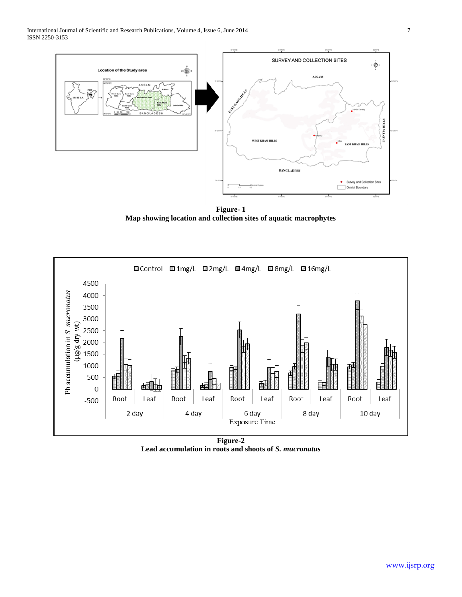

**Figure- 1 Map showing location and collection sites of aquatic macrophytes**



**Lead accumulation in roots and shoots of** *S. mucronatus*